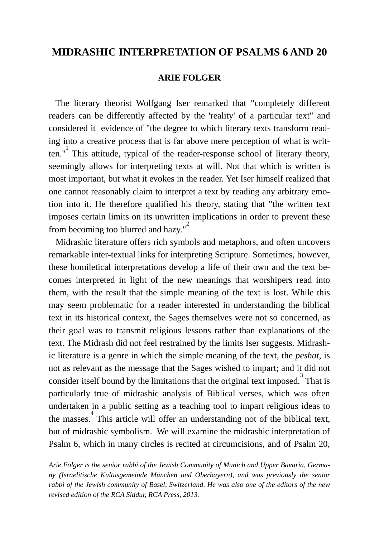### **MIDRASHIC INTERPRETATION OF PSALMS 6 AND 20**

#### **ARIE FOLGER**

 The literary theorist Wolfgang Iser remarked that "completely different readers can be differently affected by the 'reality' of a particular text" and considered it evidence of "the degree to which literary texts transform reading into a creative process that is far above mere perception of what is written." $\frac{1}{1}$  This attitude, typical of the reader-response school of literary theory, seemingly allows for interpreting texts at will. Not that which is written is most important, but what it evokes in the reader. Yet Iser himself realized that one cannot reasonably claim to interpret a text by reading any arbitrary emotion into it. He therefore qualified his theory, stating that "the written text imposes certain limits on its unwritten implications in order to prevent these from becoming too blurred and hazy."

 Midrashic literature offers rich symbols and metaphors, and often uncovers remarkable inter-textual links for interpreting Scripture. Sometimes, however, these homiletical interpretations develop a life of their own and the text becomes interpreted in light of the new meanings that worshipers read into them, with the result that the simple meaning of the text is lost. While this may seem problematic for a reader interested in understanding the biblical text in its historical context, the Sages themselves were not so concerned, as their goal was to transmit religious lessons rather than explanations of the text. The Midrash did not feel restrained by the limits Iser suggests. Midrashic literature is a genre in which the simple meaning of the text, the *peshat*, is not as relevant as the message that the Sages wished to impart; and it did not consider itself bound by the limitations that the original text imposed.<sup>3</sup> That is particularly true of midrashic analysis of Biblical verses, which was often undertaken in a public setting as a teaching tool to impart religious ideas to the masses.<sup>4</sup> This article will offer an understanding not of the biblical text, but of midrashic symbolism. We will examine the midrashic interpretation of Psalm 6, which in many circles is recited at circumcisions, and of Psalm 20,

*Arie Folger is the senior rabbi of the Jewish Community of Munich and Upper Bavaria, Germany (Israelitische Kultusgemeinde München und Oberbayern), and was previously the senior rabbi of the Jewish community of Basel, Switzerland. He was also one of the editors of the new revised edition of the RCA Siddur, RCA Press, 2013.*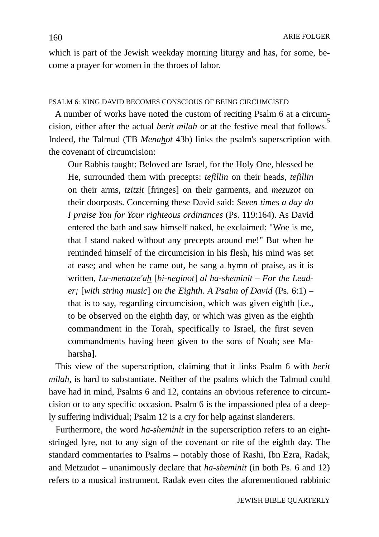which is part of the Jewish weekday morning liturgy and has, for some, become a prayer for women in the throes of labor.

#### PSALM 6: KING DAVID BECOMES CONSCIOUS OF BEING CIRCUMCISED

 A number of works have noted the custom of reciting Psalm 6 at a circumcision, either after the actual *berit milah* or at the festive meal that follows. 5 Indeed, the Talmud (TB *Menahot* 43b) links the psalm's superscription with the covenant of circumcision:

Our Rabbis taught: Beloved are Israel, for the Holy One, blessed be He, surrounded them with precepts: *tefillin* on their heads, *tefillin* on their arms, *tzitzit* [fringes] on their garments, and *mezuzot* on their doorposts. Concerning these David said: *Seven times a day do I praise You for Your righteous ordinances* (Ps. 119:164). As David entered the bath and saw himself naked, he exclaimed: "Woe is me, that I stand naked without any precepts around me!" But when he reminded himself of the circumcision in his flesh, his mind was set at ease; and when he came out, he sang a hymn of praise, as it is written, *La-menatze'ah* [*bi-neginot*] *al ha-sheminit – For the Leader;* [*with string music*] *on the Eighth. A Psalm of David* (Ps. 6:1) – that is to say, regarding circumcision, which was given eighth [i.e., to be observed on the eighth day, or which was given as the eighth commandment in the Torah, specifically to Israel, the first seven commandments having been given to the sons of Noah; see Maharsha].

 This view of the superscription, claiming that it links Psalm 6 with *berit milah*, is hard to substantiate. Neither of the psalms which the Talmud could have had in mind, Psalms 6 and 12, contains an obvious reference to circumcision or to any specific occasion. Psalm 6 is the impassioned plea of a deeply suffering individual; Psalm 12 is a cry for help against slanderers.

 Furthermore, the word *ha-sheminit* in the superscription refers to an eightstringed lyre, not to any sign of the covenant or rite of the eighth day. The standard commentaries to Psalms – notably those of Rashi, Ibn Ezra, Radak, and Metzudot – unanimously declare that *ha-sheminit* (in both Ps. 6 and 12) refers to a musical instrument. Radak even cites the aforementioned rabbinic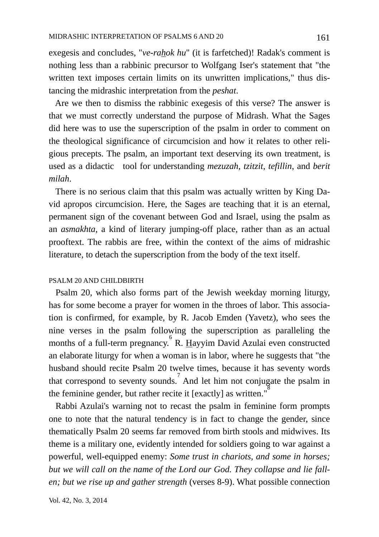exegesis and concludes, "*ve-rahok hu*" (it is farfetched)! Radak's comment is nothing less than a rabbinic precursor to Wolfgang Iser's statement that "the written text imposes certain limits on its unwritten implications," thus distancing the midrashic interpretation from the *peshat*.

 Are we then to dismiss the rabbinic exegesis of this verse? The answer is that we must correctly understand the purpose of Midrash. What the Sages did here was to use the superscription of the psalm in order to comment on the theological significance of circumcision and how it relates to other religious precepts. The psalm, an important text deserving its own treatment, is used as a didactic tool for understanding *mezuzah*, *tzitzit*, *tefillin*, and *berit milah*.

 There is no serious claim that this psalm was actually written by King David apropos circumcision. Here, the Sages are teaching that it is an eternal, permanent sign of the covenant between God and Israel, using the psalm as an *asmakhta*, a kind of literary jumping-off place, rather than as an actual prooftext. The rabbis are free, within the context of the aims of midrashic literature, to detach the superscription from the body of the text itself.

#### PSALM 20 AND CHILDBIRTH

 Psalm 20, which also forms part of the Jewish weekday morning liturgy, has for some become a prayer for women in the throes of labor. This association is confirmed, for example, by R. Jacob Emden (Yavetz), who sees the nine verses in the psalm following the superscription as paralleling the months of a full-term pregnancy. R. Hayyim David Azulai even constructed an elaborate liturgy for when a woman is in labor, where he suggests that "the husband should recite Psalm 20 twelve times, because it has seventy words that correspond to seventy sounds. And let him not conjugate the psalm in the feminine gender, but rather recite it [exactly] as written.<sup>18</sup>

 Rabbi Azulai's warning not to recast the psalm in feminine form prompts one to note that the natural tendency is in fact to change the gender, since thematically Psalm 20 seems far removed from birth stools and midwives. Its theme is a military one, evidently intended for soldiers going to war against a powerful, well-equipped enemy: *Some trust in chariots, and some in horses; but we will call on the name of the Lord our God. They collapse and lie fallen; but we rise up and gather strength* (verses 8-9). What possible connection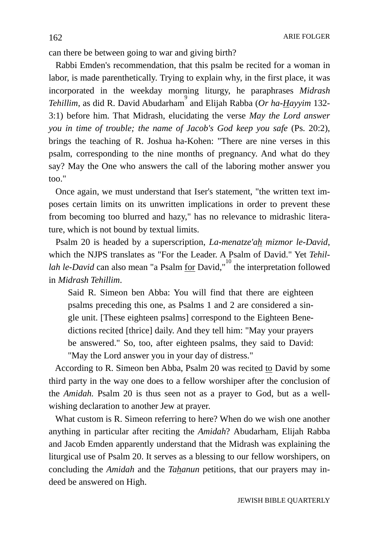can there be between going to war and giving birth?

 Rabbi Emden's recommendation, that this psalm be recited for a woman in labor, is made parenthetically. Trying to explain why, in the first place, it was incorporated in the weekday morning liturgy, he paraphrases *Midrash*  Tehillim, as did R. David Abudarham<sup>9</sup> and Elijah Rabba (Or ha-Hayyim 132-3:1) before him. That Midrash, elucidating the verse *May the Lord answer you in time of trouble; the name of Jacob's God keep you safe (Ps. 20:2),* brings the teaching of R. Joshua ha-Kohen: "There are nine verses in this psalm, corresponding to the nine months of pregnancy. And what do they say? May the One who answers the call of the laboring mother answer you too."

 Once again, we must understand that Iser's statement, "the written text imposes certain limits on its unwritten implications in order to prevent these from becoming too blurred and hazy," has no relevance to midrashic literature, which is not bound by textual limits.

 Psalm 20 is headed by a superscription, *La-menatze'ah mizmor le-David*, which the NJPS translates as "For the Leader. A Psalm of David." Yet *Tehillah le-David* can also mean "a Psalm <u>for</u> David,"<sup>10</sup> the interpretation followed in *Midrash Tehillim*.

Said R. Simeon ben Abba: You will find that there are eighteen psalms preceding this one, as Psalms 1 and 2 are considered a single unit. [These eighteen psalms] correspond to the Eighteen Benedictions recited [thrice] daily. And they tell him: "May your prayers be answered." So, too, after eighteen psalms, they said to David: "May the Lord answer you in your day of distress."

According to R. Simeon ben Abba, Psalm 20 was recited to David by some third party in the way one does to a fellow worshiper after the conclusion of the *Amidah.* Psalm 20 is thus seen not as a prayer to God, but as a wellwishing declaration to another Jew at prayer.

 What custom is R. Simeon referring to here? When do we wish one another anything in particular after reciting the *Amidah*? Abudarham, Elijah Rabba and Jacob Emden apparently understand that the Midrash was explaining the liturgical use of Psalm 20. It serves as a blessing to our fellow worshipers, on concluding the *Amidah* and the *Tahanun* petitions, that our prayers may indeed be answered on High.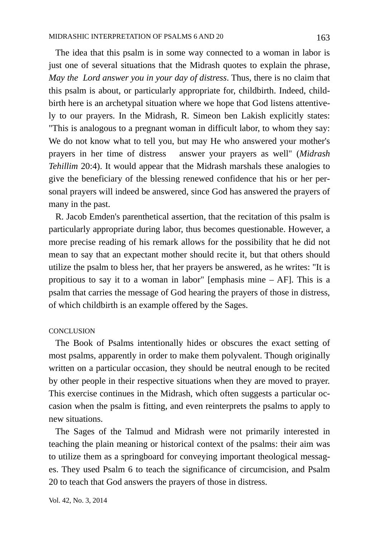The idea that this psalm is in some way connected to a woman in labor is just one of several situations that the Midrash quotes to explain the phrase, *May the Lord answer you in your day of distress*. Thus, there is no claim that this psalm is about, or particularly appropriate for, childbirth. Indeed, childbirth here is an archetypal situation where we hope that God listens attentively to our prayers. In the Midrash, R. Simeon ben Lakish explicitly states: "This is analogous to a pregnant woman in difficult labor, to whom they say: We do not know what to tell you, but may He who answered your mother's prayers in her time of distress answer your prayers as well" (*Midrash Tehillim* 20:4). It would appear that the Midrash marshals these analogies to give the beneficiary of the blessing renewed confidence that his or her personal prayers will indeed be answered, since God has answered the prayers of many in the past.

 R. Jacob Emden's parenthetical assertion, that the recitation of this psalm is particularly appropriate during labor, thus becomes questionable. However, a more precise reading of his remark allows for the possibility that he did not mean to say that an expectant mother should recite it, but that others should utilize the psalm to bless her, that her prayers be answered, as he writes: "It is propitious to say it to a woman in labor" [emphasis mine – AF]. This is a psalm that carries the message of God hearing the prayers of those in distress, of which childbirth is an example offered by the Sages.

#### **CONCLUSION**

 The Book of Psalms intentionally hides or obscures the exact setting of most psalms, apparently in order to make them polyvalent. Though originally written on a particular occasion, they should be neutral enough to be recited by other people in their respective situations when they are moved to prayer. This exercise continues in the Midrash, which often suggests a particular occasion when the psalm is fitting, and even reinterprets the psalms to apply to new situations.

 The Sages of the Talmud and Midrash were not primarily interested in teaching the plain meaning or historical context of the psalms: their aim was to utilize them as a springboard for conveying important theological messages. They used Psalm 6 to teach the significance of circumcision, and Psalm 20 to teach that God answers the prayers of those in distress.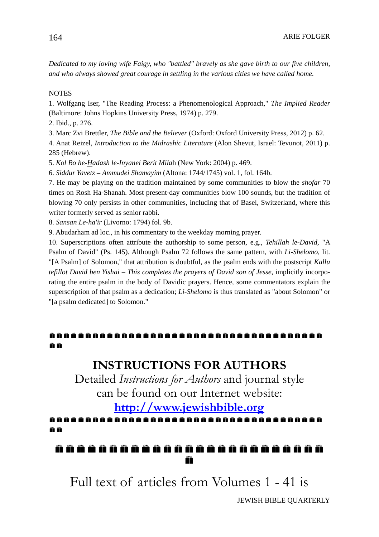*Dedicated to my loving wife Faigy, who "battled" bravely as she gave birth to our five children, and who always showed great courage in settling in the various cities we have called home.*

#### **NOTES**

1. Wolfgang Iser, "The Reading Process: a Phenomenological Approach," *The Implied Reader* (Baltimore: Johns Hopkins University Press, 1974) p. 279.

2. Ibid., p. 276.

3. Marc Zvi Brettler, *The Bible and the Believer* (Oxford: Oxford University Press, 2012) p. 62.

4. Anat Reizel, *Introduction to the Midrashic Literature* (Alon Shevut, Israel: Tevunot, 2011) p. 285 (Hebrew).

5. *Kol Bo he-Hadash le-Inyanei Berit Mila*h (New York: 2004) p. 469.

6. *Siddur Yavetz* – *Ammudei Shamayim* (Altona: 1744/1745) vol. 1, fol. 164b.

7. He may be playing on the tradition maintained by some communities to blow the *shofar* 70 times on Rosh Ha-Shanah. Most present-day communities blow 100 sounds, but the tradition of blowing 70 only persists in other communities, including that of Basel, Switzerland, where this writer formerly served as senior rabbi.

8. *Sansan Le-ha'ir* (Livorno: 1794) fol. 9b.

9. Abudarham ad loc., in his commentary to the weekday morning prayer.

10. Superscriptions often attribute the authorship to some person, e.g., *Tehillah le-David*, "A Psalm of David" (Ps. 145). Although Psalm 72 follows the same pattern, with *Li-Shelomo*, lit. "[A Psalm] of Solomon," that attribution is doubtful, as the psalm ends with the postscript *Kallu tefillot David ben Yishai* – *This completes the prayers of David son of Jesse*, implicitly incorporating the entire psalm in the body of Davidic prayers. Hence, some commentators explain the superscription of that psalm as a dedication; *Li-Shelomo* is thus translated as "about Solomon" or "[a psalm dedicated] to Solomon."

### ë ë

## **INSTRUCTIONS FOR AUTHORS**

Detailed *Instructions for Authors* and journal style can be found on our Internet website:

# **[http://www.jewishbible.org](http://www.jewishbible.org/)**

### a a

 m

Full text of articles from Volumes 1 - 41 is